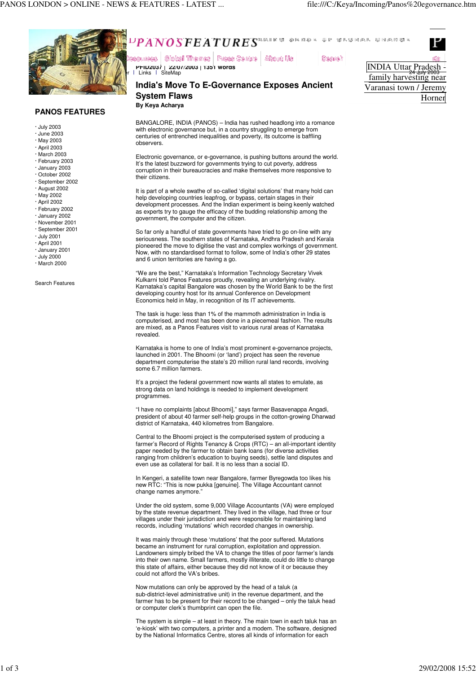

## **PANOS FEATURES**

- · July 2003
- · June 2003
- · May 2003
- · April 2003
- · March 2003 · February 2003
- 
- · January 2003
- · October 2002 · September 2002
- · August 2002
- · May 2002
- · April 2002
- · February 2002
- · January 2002
- · November 2001
- · September 2001
- · July 2001
- · April 2001
- · January 2001
- · July 2000
- · March 2000

Search Features

securese | Giolasi Tihamaa | Presa Centre | Alaout Ua Search **PFID2037 | 22/07/2003 | 1351 words**<br>
Primar BiteMap 24 July 2003<br>
Contact Links | SiteMap 2003 | 1351 words<br>
Contact Links | SiteMap

## **India's Move To E-Governance Exposes Ancient System Flaws By Keya Acharya**

BANGALORE, INDIA (PANOS) – India has rushed headlong into a romance with electronic governance but, in a country struggling to emerge from centuries of entrenched inequalities and poverty, its outcome is baffling observers.

Electronic governance, or e-governance, is pushing buttons around the world. It's the latest buzzword for governments trying to cut poverty, address corruption in their bureaucracies and make themselves more responsive to their citizens.

It is part of a whole swathe of so-called 'digital solutions' that many hold can help developing countries leapfrog, or bypass, certain stages in their development processes. And the Indian experiment is being keenly watched as experts try to gauge the efficacy of the budding relationship among the government, the computer and the citizen.

So far only a handful of state governments have tried to go on-line with any seriousness. The southern states of Karnataka, Andhra Pradesh and Kerala pioneered the move to digitise the vast and complex workings of government. Now, with no standardised format to follow, some of India's other 29 states and 6 union territories are having a go.

"We are the best," Karnataka's Information Technology Secretary Vivek Kulkarni told Panos Features proudly, revealing an underlying rivalry. Karnataka's capital Bangalore was chosen by the World Bank to be the first developing country host for its annual Conference on Development Economics held in May, in recognition of its IT achievements.

The task is huge: less than 1% of the mammoth administration in India is computerised, and most has been done in a piecemeal fashion. The results are mixed, as a Panos Features visit to various rural areas of Karnataka revealed.

Karnataka is home to one of India's most prominent e-governance projects, launched in 2001. The Bhoomi (or 'land') project has seen the revenue department computerise the state's 20 million rural land records, involving some 6.7 million farmers.

It's a project the federal government now wants all states to emulate, as strong data on land holdings is needed to implement development programmes.

"I have no complaints [about Bhoomi]," says farmer Basavenappa Angadi, president of about 40 farmer self-help groups in the cotton-growing Dharwad district of Karnataka, 440 kilometres from Bangalore.

Central to the Bhoomi project is the computerised system of producing a farmer's Record of Rights Tenancy & Crops (RTC) – an all-important identity paper needed by the farmer to obtain bank loans (for diverse activities ranging from children's education to buying seeds), settle land disputes and even use as collateral for bail. It is no less than a social ID.

In Kengeri, a satellite town near Bangalore, farmer Byregowda too likes his new RTC: "This is now pukka [genuine]. The Village Accountant cannot change names anymore."

Under the old system, some 9,000 Village Accountants (VA) were employed by the state revenue department. They lived in the village, had three or four villages under their jurisdiction and were responsible for maintaining land records, including 'mutations' which recorded changes in ownership.

It was mainly through these 'mutations' that the poor suffered. Mutations became an instrument for rural corruption, exploitation and oppression. Landowners simply bribed the VA to change the titles of poor farmer's lands into their own name. Small farmers, mostly illiterate, could do little to change this state of affairs, either because they did not know of it or because they could not afford the VA's bribes.

Now mutations can only be approved by the head of a taluk (a sub-district-level administrative unit) in the revenue department, and the farmer has to be present for their record to be changed – only the taluk head or computer clerk's thumbprint can open the file.

The system is simple – at least in theory. The main town in each taluk has an 'e-kiosk' with two computers, a printer and a modem. The software, designed by the National Informatics Centre, stores all kinds of information for each

INDIA Uttar Pradesh family harvesting near Varanasi town / Jeremy Horner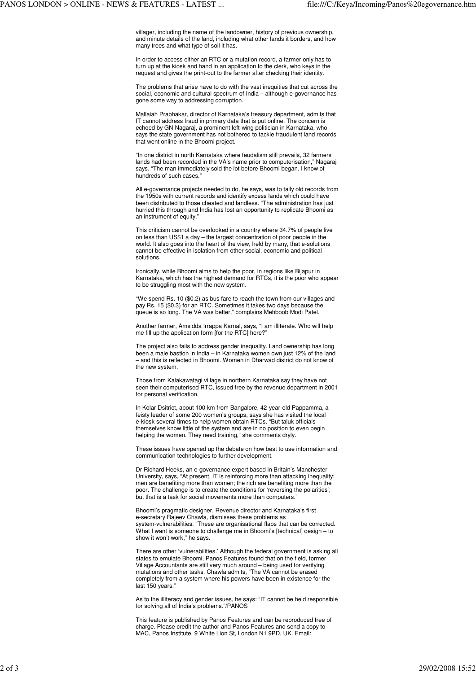villager, including the name of the landowner, history of previous ownership, and minute details of the land, including what other lands it borders, and how many trees and what type of soil it has.

In order to access either an RTC or a mutation record, a farmer only has to turn up at the kiosk and hand in an application to the clerk, who keys in the request and gives the print-out to the farmer after checking their identity.

The problems that arise have to do with the vast inequities that cut across the social, economic and cultural spectrum of India – although e-governance has gone some way to addressing corruption.

Mallaiah Prabhakar, director of Karnataka's treasury department, admits that IT cannot address fraud in primary data that is put online. The concern is echoed by GN Nagaraj, a prominent left-wing politician in Karnataka, who says the state government has not bothered to tackle fraudulent land records that went online in the Bhoomi project.

"In one district in north Karnataka where feudalism still prevails, 32 farmers' lands had been recorded in the VA's name prior to computerisation," Nagaraj says. "The man immediately sold the lot before Bhoomi began. I know of hundreds of such cases."

All e-governance projects needed to do, he says, was to tally old records from the 1950s with current records and identify excess lands which could have been distributed to those cheated and landless. "The administration has just hurried this through and India has lost an opportunity to replicate Bhoomi as an instrument of equity."

This criticism cannot be overlooked in a country where 34.7% of people live on less than US\$1 a day – the largest concentration of poor people in the world. It also goes into the heart of the view, held by many, that e-solutions cannot be effective in isolation from other social, economic and political solutions.

Ironically, while Bhoomi aims to help the poor, in regions like Bijapur in Karnataka, which has the highest demand for RTCs, it is the poor who appear to be struggling most with the new system.

"We spend Rs. 10 (\$0.2) as bus fare to reach the town from our villages and pay Rs. 15 (\$0.3) for an RTC. Sometimes it takes two days because the queue is so long. The VA was better," complains Mehboob Modi Patel.

Another farmer, Amsidda Irrappa Karnal, says, "I am illiterate. Who will help me fill up the application form [for the RTC] here?"

The project also fails to address gender inequality. Land ownership has long been a male bastion in India – in Karnataka women own just 12% of the land – and this is reflected in Bhoomi. Women in Dharwad district do not know of the new system.

Those from Kalakawatagi village in northern Karnataka say they have not seen their computerised RTC, issued free by the revenue department in 2001 for personal verification.

In Kolar Dsitrict, about 100 km from Bangalore, 42-year-old Pappamma, a feisty leader of some 200 women's groups, says she has visited the local e-kiosk several times to help women obtain RTCs. "But taluk officials themselves know little of the system and are in no position to even begin helping the women. They need training," she comments dryly.

These issues have opened up the debate on how best to use information and communication technologies to further development.

Dr Richard Heeks, an e-governance expert based in Britain's Manchester University, says, "At present, IT is reinforcing more than attacking inequality: men are benefiting more than women; the rich are benefiting more than the poor. The challenge is to create the conditions for 'reversing the polarities'; but that is a task for social movements more than computers.'

Bhoomi's pragmatic designer, Revenue director and Karnataka's first e-secretary Rajeev Chawla, dismisses these problems as system-vulnerabilities. "These are organisational flaps that can be corrected. What I want is someone to challenge me in Bhoomi's [technical] design – to show it won't work," he says.

There are other 'vulnerabilities.' Although the federal government is asking all states to emulate Bhoomi, Panos Features found that on the field, former Village Accountants are still very much around – being used for verifying mutations and other tasks. Chawla admits, "The VA cannot be erased completely from a system where his powers have been in existence for the last 150 years."

As to the illiteracy and gender issues, he says: "IT cannot be held responsible for solving all of India's problems."/PANOS

This feature is published by Panos Features and can be reproduced free of charge. Please credit the author and Panos Features and send a copy to MAC, Panos Institute, 9 White Lion St, London N1 9PD, UK. Email: